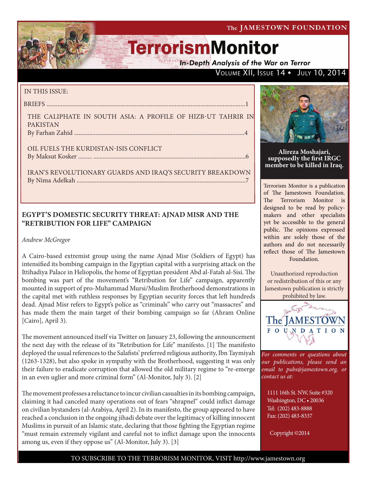**In-Depth Analysis of the War on Terror** 

## VOLUME XII, ISSUE 14 . JULY 10, 2014

### IN THIS ISSUE:

BRIEFS ............................................................................................................................1

THE CALIPHATE IN SOUTH ASIA: A PROFILE OF HIZB-UT TAHRIR IN PAKISTAN By Farhan Zahid ...............................................................................................................4

OIL FUELS THE KURDISTAN-ISIS CONFLICT By Maksut Kosker ......... ...................................................................................................6

IRAN'S REVOLUTIONARY GUARDS AND IRAQ'S SECURITY BREAKDOWN By Nima Adelkah ..............................................................................................................7

### **EGYPT'S DOMESTIC SECURITY THREAT: AJNAD MISR AND THE "RETRIBUTION FOR LIFE" CAMPAIGN**

*Andrew McGregor* 

A Cairo-based extremist group using the name Ajnad Misr (Soldiers of Egypt) has intensified its bombing campaign in the Egyptian capital with a surprising attack on the Ittihadiya Palace in Heliopolis, the home of Egyptian president Abd al-Fatah al-Sisi. The bombing was part of the movement's "Retribution for Life" campaign, apparently mounted in support of pro-Muhammad Mursi/Muslim Brotherhood demonstrations in the capital met with ruthless responses by Egyptian security forces that left hundreds dead. Ajnad Misr refers to Egypt's police as "criminals" who carry out "massacres" and has made them the main target of their bombing campaign so far (Ahram Online [Cairo], April 3).

The movement announced itself via Twitter on January 23, following the announcement the next day with the release of its "Retribution for Life" manifesto. [1] The manifesto deployed the usual references to the Salafists' preferred religious authority, Ibn Taymiyah (1263-1328), but also spoke in sympathy with the Brotherhood, suggesting it was only their failure to eradicate corruption that allowed the old military regime to "re-emerge in an even uglier and more criminal form" (Al-Monitor, July 3). [2]

The movement professes a reluctance to incur civilian casualties in its bombing campaign, claiming it had canceled many operations out of fears "shrapnel" could inflict damage on civilian bystanders (al-Arabiya, April 2). In its manifesto, the group appeared to have reached a conclusion in the ongoing jihadi debate over the legitimacy of killing innocent Muslims in pursuit of an Islamic state, declaring that those fighting the Egyptian regime "must remain extremely vigilant and careful not to inflict damage upon the innocents among us, even if they oppose us" (Al-Monitor, July 3). [3]



**Alireza Moshajari, supposedly the first IRGC member to be killed in Iraq.**

Terrorism Monitor is a publication of The Jamestown Foundation. The Terrorism Monitor is designed to be read by policymakers and other specialists yet be accessible to the general public. The opinions expressed within are solely those of the authors and do not necessarily reflect those of The Jamestown Foundation.

Unauthorized reproduction or redistribution of this or any Jamestown publication is strictly prohibited by law.



*For comments or questions about our publications, please send an email to pubs@jamestown.org, or contact us at:* 

1111 16th St. NW, Suite #320 Washington, DC • 20036 Tel: (202) 483-8888 Fax: (202) 483-8337

Copyright ©2014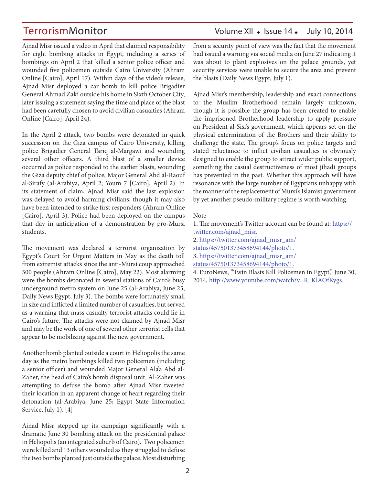Ajnad Misr issued a video in April that claimed responsibility for eight bombing attacks in Egypt, including a series of bombings on April 2 that killed a senior police officer and wounded five policemen outside Cairo University (Ahram Online [Cairo], April 17). Within days of the video's release, Ajnad Misr deployed a car bomb to kill police Brigadier General Ahmad Zaki outside his home in Sixth October City, later issuing a statement saying the time and place of the blast had been carefully chosen to avoid civilian casualties (Ahram Online [Cairo], April 24).

In the April 2 attack, two bombs were detonated in quick succession on the Giza campus of Cairo University, killing police Brigadier General Tariq al-Margawi and wounding several other officers. A third blast of a smaller device occurred as police responded to the earlier blasts, wounding the Giza deputy chief of police, Major General Abd al-Raouf al-Sirafy (al-Arabiya, April 2; Youm 7 [Cairo], April 2). In its statement of claim, Ajnad Misr said the last explosion was delayed to avoid harming civilians, though it may also have been intended to strike first responders (Ahram Online [Cairo], April 3). Police had been deployed on the campus that day in anticipation of a demonstration by pro-Mursi students.

The movement was declared a terrorist organization by Egypt's Court for Urgent Matters in May as the death toll from extremist attacks since the anti-Mursi coup approached 500 people (Ahram Online [Cairo], May 22). Most alarming were the bombs detonated in several stations of Cairo's busy underground metro system on June 25 (al-Arabiya, June 25; Daily News Egypt, July 3). The bombs were fortunately small in size and inflicted a limited number of casualties, but served as a warning that mass casualty terrorist attacks could lie in Cairo's future. The attacks were not claimed by Ajnad Misr and may be the work of one of several other terrorist cells that appear to be mobilizing against the new government.

Another bomb planted outside a court in Heliopolis the same day as the metro bombings killed two policemen (including a senior officer) and wounded Major General Ala'a Abd al-Zaher, the head of Cairo's bomb disposal unit. Al-Zaher was attempting to defuse the bomb after Ajnad Misr tweeted their location in an apparent change of heart regarding their detonation (al-Arabiya, June 25; Egypt State Information Service, July 1). [4]

Ajnad Misr stepped up its campaign significantly with a dramatic June 30 bombing attack on the presidential palace in Heliopolis (an integrated suburb of Cairo). Two policemen were killed and 13 others wounded as they struggled to defuse the two bombs planted just outside the palace. Most disturbing

## TerrorismMonitor Volume XII • Issue 14 • July 10, 2014

from a security point of view was the fact that the movement had issued a warning via social media on June 27 indicating it was about to plant explosives on the palace grounds, yet security services were unable to secure the area and prevent the blasts (Daily News Egypt, July 1).

Ajnad Misr's membership, leadership and exact connections to the Muslim Brotherhood remain largely unknown, though it is possible the group has been created to enable the imprisoned Brotherhood leadership to apply pressure on President al-Sisi's government, which appears set on the physical extermination of the Brothers and their ability to challenge the state. The group's focus on police targets and stated reluctance to inflict civilian casualties is obviously designed to enable the group to attract wider public support, something the casual destructiveness of most jihadi groups has prevented in the past. Whether this approach will have resonance with the large number of Egyptians unhappy with the manner of the replacement of Mursi's Islamist government by yet another pseudo-military regime is worth watching.

### Note

1. The movement's Twitter account can be found at: https:// twitter.com/ajnad\_misr.

2. https://twitter.com/ajnad\_misr\_am/

status/457501373458694144/photo/1.

3. https://twitter.com/ajnad\_misr\_am/

status/457501373458694144/photo/1.

4. EuroNews, "Twin Blasts Kill Policemen in Egypt," June 30, 2014, http://www.youtube.com/watch?v=R\_KlAOfKygs.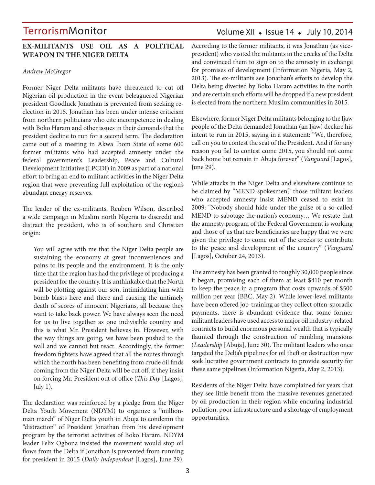### **EX-MILITANTS USE OIL AS A POLITICAL WEAPON IN THE NIGER DELTA**

### *Andrew McGregor*

Former Niger Delta militants have threatened to cut off Nigerian oil production in the event beleaguered Nigerian president Goodluck Jonathan is prevented from seeking reelection in 2015. Jonathan has been under intense criticism from northern politicians who cite incompetence in dealing with Boko Haram and other issues in their demands that the president decline to run for a second term. The declaration came out of a meeting in Akwa Ibom State of some 600 former militants who had accepted amnesty under the federal government's Leadership, Peace and Cultural Development Initiative (LPCDI) in 2009 as part of a national effort to bring an end to militant activities in the Niger Delta region that were preventing full exploitation of the region's abundant energy reserves.

The leader of the ex-militants, Reuben Wilson, described a wide campaign in Muslim north Nigeria to discredit and distract the president, who is of southern and Christian origin:

You will agree with me that the Niger Delta people are sustaining the economy at great inconveniences and pains to its people and the environment. It is the only time that the region has had the privilege of producing a president for the country. It is unthinkable that the North will be plotting against our son, intimidating him with bomb blasts here and there and causing the untimely death of scores of innocent Nigerians, all because they want to take back power. We have always seen the need for us to live together as one indivisible country and this is what Mr. President believes in. However, with the way things are going, we have been pushed to the wall and we cannot but react. Accordingly, the former freedom fighters have agreed that all the routes through which the north has been benefiting from crude oil finds coming from the Niger Delta will be cut off, if they insist on forcing Mr. President out of office (*This Day* [Lagos], July 1).

The declaration was reinforced by a pledge from the Niger Delta Youth Movement (NDYM) to organize a "millionman march" of Niger Delta youth in Abuja to condemn the "distraction" of President Jonathan from his development program by the terrorist activities of Boko Haram. NDYM leader Felix Ogbona insisted the movement would stop oil flows from the Delta if Jonathan is prevented from running for president in 2015 (*Daily Independent* [Lagos], June 29).

According to the former militants, it was Jonathan (as vicepresident) who visited the militants in the creeks of the Delta and convinced them to sign on to the amnesty in exchange for promises of development (Information Nigeria, May 2, 2013). The ex-militants see Jonathan's efforts to develop the Delta being diverted by Boko Haram activities in the north and are certain such efforts will be dropped if a new president is elected from the northern Muslim communities in 2015.

Elsewhere, former Niger Delta militants belonging to the Ijaw people of the Delta demanded Jonathan (an Ijaw) declare his intent to run in 2015, saying in a statement: "We, therefore, call on you to contest the seat of the President. And if for any reason you fail to contest come 2015, you should not come back home but remain in Abuja forever" (*Vanguard* [Lagos], June 29).

While attacks in the Niger Delta and elsewhere continue to be claimed by "MEND spokesmen," those militant leaders who accepted amnesty insist MEND ceased to exist in 2009: "Nobody should hide under the guise of a so-called MEND to sabotage the nation's economy… We restate that the amnesty program of the Federal Government is working and those of us that are beneficiaries are happy that we were given the privilege to come out of the creeks to contribute to the peace and development of the country" (*Vanguard* [Lagos], October 24, 2013).

The amnesty has been granted to roughly 30,000 people since it began, promising each of them at least \$410 per month to keep the peace in a program that costs upwards of \$500 million per year (BBC, May 2). While lower-level militants have been offered job-training as they collect often-sporadic payments, there is abundant evidence that some former militant leaders have used access to major oil industry-related contracts to build enormous personal wealth that is typically flaunted through the construction of rambling mansions (*Leadership* [Abuja], June 30). The militant leaders who once targeted the Delta's pipelines for oil theft or destruction now seek lucrative government contracts to provide security for these same pipelines (Information Nigeria, May 2, 2013).

Residents of the Niger Delta have complained for years that they see little benefit from the massive revenues generated by oil production in their region while enduring industrial pollution, poor infrastructure and a shortage of employment opportunities.

## Volume XII  $\bullet$  Issue 14  $\bullet$  July 10, 2014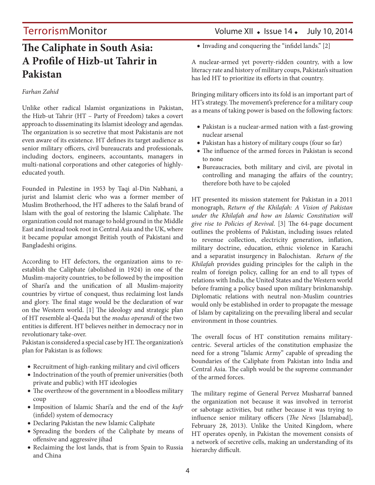## **The Caliphate in South Asia: A Profile of Hizb-ut Tahrir in Pakistan**

### *Farhan Zahid*

Unlike other radical Islamist organizations in Pakistan, the Hizb-ut Tahrir (HT – Party of Freedom) takes a covert approach to disseminating its Islamist ideology and agendas. The organization is so secretive that most Pakistanis are not even aware of its existence. HT defines its target audience as senior military officers, civil bureaucrats and professionals, including doctors, engineers, accountants, managers in multi-national corporations and other categories of highlyeducated youth.

Founded in Palestine in 1953 by Taqi al-Din Nabhani, a jurist and Islamist cleric who was a former member of Muslim Brotherhood, the HT adheres to the Salafi brand of Islam with the goal of restoring the Islamic Caliphate. The organization could not manage to hold ground in the Middle East and instead took root in Central Asia and the UK, where it became popular amongst British youth of Pakistani and Bangladeshi origins.

According to HT defectors, the organization aims to reestablish the Caliphate (abolished in 1924) in one of the Muslim-majority countries, to be followed by the imposition of Shari'a and the unification of all Muslim-majority countries by virtue of conquest, thus reclaiming lost lands and glory. The final stage would be the declaration of war on the Western world. [1] The ideology and strategic plan of HT resemble al-Qaeda but the *modus operandi* of the two entities is different. HT believes neither in democracy nor in revolutionary take-over.

Pakistan is considered a special case by HT. The organization's plan for Pakistan is as follows:

- Recruitment of high-ranking military and civil officers
- Indoctrination of the youth of premier universities (both private and public) with HT ideologies
- The overthrow of the government in a bloodless military coup
- • Imposition of Islamic Shari'a and the end of the *kufr* (infidel) system of democracy
- • Declaring Pakistan the new Islamic Caliphate
- • Spreading the borders of the Caliphate by means of offensive and aggressive jihad
- Reclaiming the lost lands, that is from Spain to Russia and China

## TerrorismMonitor Volume XII • Issue 14 • July 10, 2014

• Invading and conquering the "infidel lands." [2]

A nuclear-armed yet poverty-ridden country, with a low literacy rate and history of military coups, Pakistan's situation has led HT to prioritize its efforts in that country.

Bringing military officers into its fold is an important part of HT's strategy. The movement's preference for a military coup as a means of taking power is based on the following factors:

- • Pakistan is a nuclear-armed nation with a fast-growing nuclear arsenal
- • Pakistan has a history of military coups (four so far)
- The influence of the armed forces in Pakistan is second to none
- • Bureaucracies, both military and civil, are pivotal in controlling and managing the affairs of the country; therefore both have to be cajoled

HT presented its mission statement for Pakistan in a 2011 monograph, *Return of the Khilafah: A Vision of Pakistan under the Khilafah and how an Islamic Constitution will give rise to Policies of Revival*. [3] The 64-page document outlines the problems of Pakistan, including issues related to revenue collection, electricity generation, inflation, military doctrine, education, ethnic violence in Karachi and a separatist insurgency in Balochistan. *Return of the Khilafah* provides guiding principles for the caliph in the realm of foreign policy, calling for an end to all types of relations with India, the United States and the Western world before framing a policy based upon military brinkmanship. Diplomatic relations with neutral non-Muslim countries would only be established in order to propagate the message of Islam by capitalizing on the prevailing liberal and secular environment in those countries.

The overall focus of HT constitution remains militarycentric. Several articles of the constitution emphasize the need for a strong "Islamic Army" capable of spreading the boundaries of the Caliphate from Pakistan into India and Central Asia. The caliph would be the supreme commander of the armed forces.

The military regime of General Pervez Musharraf banned the organization not because it was involved in terrorist or sabotage activities, but rather because it was trying to influence senior military officers (*The News* [Islamabad], February 28, 2013). Unlike the United Kingdom, where HT operates openly, in Pakistan the movement consists of a network of secretive cells, making an understanding of its hierarchy difficult.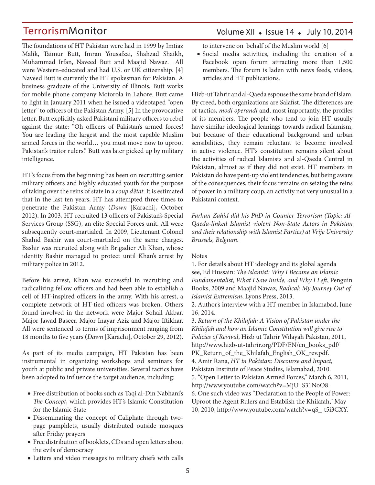The foundations of HT Pakistan were laid in 1999 by Imtiaz Malik, Taimur Butt, Imran Yousafzai, Shahzad Shaikh, Muhammad Irfan, Naveed Butt and Maajid Nawaz. All were Western-educated and had U.S. or UK citizenship. [4] Naveed Butt is currently the HT spokesman for Pakistan. A business graduate of the University of Illinois, Butt works for mobile phone company Motorola in Lahore. Butt came to light in January 2011 when he issued a videotaped "open letter" to officers of the Pakistan Army. [5] In the provocative letter, Butt explicitly asked Pakistani military officers to rebel against the state: "Oh officers of Pakistan's armed forces! You are leading the largest and the most capable Muslim armed forces in the world… you must move now to uproot Pakistan's traitor rulers." Butt was later picked up by military intelligence.

HT's focus from the beginning has been on recruiting senior military officers and highly educated youth for the purpose of taking over the reins of state in a *coup d'état*. It is estimated that in the last ten years, HT has attempted three times to penetrate the Pakistan Army (*Dawn* [Karachi], October 2012). In 2003, HT recruited 13 officers of Pakistan's Special Services Group (SSG), an elite Special Forces unit. All were subsequently court-martialed. In 2009, Lieutenant Colonel Shahid Bashir was court-martialed on the same charges. Bashir was recruited along with Brigadier Ali Khan, whose identity Bashir managed to protect until Khan's arrest by military police in 2012.

Before his arrest, Khan was successful in recruiting and radicalizing fellow officers and had been able to establish a cell of HT-inspired officers in the army. With his arrest, a complete network of HT-tied officers was broken. Others found involved in the network were Major Sohail Akbar, Major Jawad Baseer, Major Inayar Aziz and Major Iftikhar. All were sentenced to terms of imprisonment ranging from 18 months to five years (*Dawn* [Karachi], October 29, 2012).

As part of its media campaign, HT Pakistan has been instrumental in organizing workshops and seminars for youth at public and private universities. Several tactics have been adopted to influence the target audience, including:

- • Free distribution of books such as Taqi al-Din Nabhani's *The Concept*, which provides HT's Islamic Constitution for the Islamic State
- • Disseminating the concept of Caliphate through twopage pamphlets, usually distributed outside mosques after Friday prayers
- • Free distribution of booklets, CDs and open letters about the evils of democracy
- to intervene on behalf of the Muslim world [6] • Social media activities, including the creation of a
	- Facebook open forum attracting more than 1,500 members. The forum is laden with news feeds, videos, articles and HT publications.

Volume XII  $\bullet$  Issue 14  $\bullet$  July 10, 2014

Hizb-ut Tahrir and al-Qaeda espouse the same brand of Islam. By creed, both organizations are Salafist. The differences are of tactics, *modi operandi* and, most importantly, the profiles of its members. The people who tend to join HT usually have similar ideological leanings towards radical Islamism, but because of their educational background and urban sensibilities, they remain reluctant to become involved in active violence. HT's constitution remains silent about the activities of radical Islamists and al-Qaeda Central in Pakistan, almost as if they did not exist. HT members in Pakistan do have pent-up violent tendencies, but being aware of the consequences, their focus remains on seizing the reins of power in a military coup, an activity not very unusual in a Pakistani context.

*Farhan Zahid did his PhD in Counter Terrorism (Topic: Al-Qaeda-linked Islamist violent Non-State Actors in Pakistan and their relationship with Islamist Parties) at Vrije University Brussels, Belgium.*

### Notes

1. For details about HT ideology and its global agenda see, Ed Hussain: *The Islamist: Why I Became an Islamic Fundamentalist, What I Saw Inside, and Why I Left*, Penguin Books, 2009 and Maajid Nawaz*, Radical: My Journey Out of Islamist Extremism*, Lyons Press, 2013.

2. Author's interview with a HT member in Islamabad, June 16, 2014.

3. *Return of the Khilafah: A Vision of Pakistan under the Khilafah and how an Islamic Constitution will give rise to Policies of Revival*, Hizb ut Tahrir Wilayah Pakistan, 2011, http://www.hizb-ut-tahrir.org/PDF/EN/en\_books\_pdf/ PK\_Return\_of\_the\_Khilafah\_English\_OK\_rev.pdf. 4. Amir Rana, *HT in Pakistan: Discourse and Impact*, Pakistan Institute of Peace Studies, Islamabad, 2010. 5. "Open Letter to Pakistan Armed Forces," March 6, 2011, http://www.youtube.com/watch?v=MjU\_S31NoO8. 6. One such video was "Declaration to the People of Power: Uproot the Agent Rulers and Establish the Khilafah," May 10, 2010, http://www.youtube.com/watch?v=qS\_-t5i3CXY.

• Letters and video messages to military chiefs with calls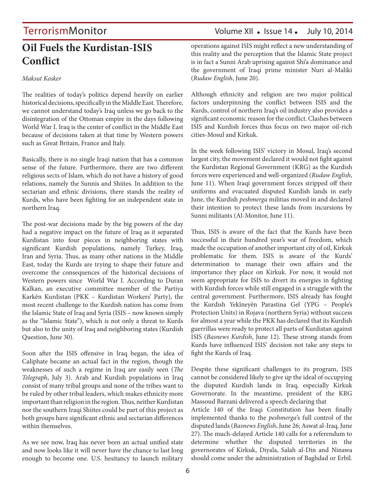## **Oil Fuels the Kurdistan-ISIS Conflict**

### *Maksut Kosker*

The realities of today's politics depend heavily on earlier historical decisions, specifically in the Middle East. Therefore, we cannot understand today's Iraq unless we go back to the disintegration of the Ottoman empire in the days following World War I. Iraq is the center of conflict in the Middle East because of decisions taken at that time by Western powers such as Great Britain, France and Italy.

Basically, there is no single Iraqi nation that has a common sense of the future. Furthermore, there are two different religious sects of Islam, which do not have a history of good relations, namely the Sunnis and Shiites. In addition to the sectarian and ethnic divisions, there stands the reality of Kurds, who have been fighting for an independent state in northern Iraq.

The post-war decisions made by the big powers of the day had a negative impact on the future of Iraq as it separated Kurdistan into four pieces in neighboring states with significant Kurdish populations, namely Turkey, Iraq, Iran and Syria. Thus, as many other nations in the Middle East, today the Kurds are trying to shape their future and overcome the consequences of the historical decisions of Western powers since World War I. According to Duran Kalkan, an executive committee member of the Partiya Karkên Kurdistan (PKK – Kurdistan Workers' Party), the most recent challenge to the Kurdish nation has come from the Islamic State of Iraq and Syria (ISIS – now known simply as the "Islamic State"), which is not only a threat to Kurds but also to the unity of Iraq and neighboring states (Kurdish Question, June 30).

Soon after the ISIS offensive in Iraq began, the idea of Caliphate became an actual fact in the region, though the weaknesses of such a regime in Iraq are easily seen (*The Telegraph*, July 3). Arab and Kurdish populations in Iraq consist of many tribal groups and none of the tribes want to be ruled by other tribal leaders, which makes ethnicity more important than religion in the region. Thus, neither Kurdistan nor the southern Iraqi Shiites could be part of this project as both groups have significant ethnic and sectarian differences within themselves.

As we see now, Iraq has never been an actual unified state and now looks like it will never have the chance to last long enough to become one. U.S. hesitancy to launch military

## TerrorismMonitor Volume XII • Issue 14 • July 10, 2014

operations against ISIS might reflect a new understanding of this reality and the perception that the Islamic State project is in fact a Sunni Arab uprising against Shi'a dominance and the government of Iraqi prime minister Nuri al-Maliki (*Rudaw English*, June 20).

Although ethnicity and religion are two major political factors underpinning the conflict between ISIS and the Kurds, control of northern Iraq's oil industry also provides a significant economic reason for the conflict. Clashes between ISIS and Kurdish forces thus focus on two major oil-rich cities-Mosul and Kirkuk.

In the week following ISIS' victory in Mosul, Iraq's second largest city, the movement declared it would not fight against the Kurdistan Regional Government (KRG) as the Kurdish forces were experienced and well-organized (*Rudaw English*, June 11). When Iraqi government forces stripped off their uniforms and evacuated disputed Kurdish lands in early June, the Kurdish *peshmerga* militias moved in and declared their intention to protect these lands from incursions by Sunni militants (Al-Monitor, June 11).

Thus, ISIS is aware of the fact that the Kurds have been successful in their hundred year's war of freedom, which made the occupation of another important city of oil, Kirkuk problematic for them. ISIS is aware of the Kurds' determination to manage their own affairs and the importance they place on Kirkuk. For now, it would not seem appropriate for ISIS to divert its energies in fighting with Kurdish forces while still engaged in a struggle with the central government. Furthermore, ISIS already has fought the Kurdish Yekîneyên Parastina Gel (YPG – People's Protection Units) in Rojava (northern Syria) without success for almost a year while the PKK has declared that its Kurdish guerrillas were ready to protect all parts of Kurdistan against ISIS (*Basnews Kurdish*, June 12). These strong stands from Kurds have influenced ISIS' decision not take any steps to fight the Kurds of Iraq.

Despite these significant challenges to its program, ISIS cannot be considered likely to give up the ideal of occupying the disputed Kurdish lands in Iraq, especially Kirkuk Governorate. In the meantime, president of the KRG Massoud Barzani delivered a speech declaring that

Article 140 of the Iraqi Constitution has been finally implemented thanks to the *peshmerga*'s full control of the disputed lands (*Basnews English*, June 26; Aswat al-Iraq, June 27). The much-delayed Article 140 calls for a referendum to determine whether the disputed territories in the governorates of Kirkuk, Diyala, Salah al-Din and Ninawa should come under the administration of Baghdad or Erbil.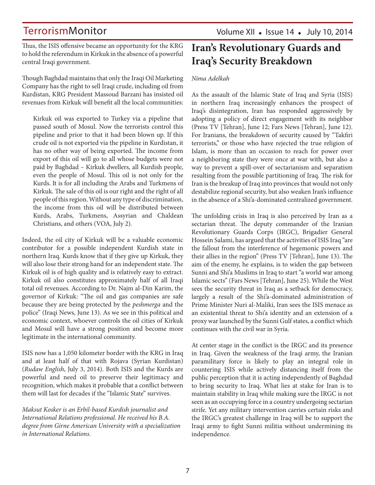Thus, the ISIS offensive became an opportunity for the KRG to hold the referendum in Kirkuk in the absence of a powerful central Iraqi government.

Though Baghdad maintains that only the Iraqi Oil Marketing Company has the right to sell Iraqi crude, including oil from Kurdistan, KRG President Massoud Barzani has insisted oil revenues from Kirkuk will benefit all the local communities:

Kirkuk oil was exported to Turkey via a pipeline that passed south of Mosul. Now the terrorists control this pipeline and prior to that it had been blown up. If this crude oil is not exported via the pipeline in Kurdistan, it has no other way of being exported. The income from export of this oil will go to all whose budgets were not paid by Baghdad – Kirkuk dwellers, all Kurdish people, even the people of Mosul. This oil is not only for the Kurds. It is for all including the Arabs and Turkmens of Kirkuk. The sale of this oil is our right and the right of all people of this region. Without any type of discrimination, the income from this oil will be distributed between Kurds, Arabs, Turkmens, Assyrian and Chaldean Christians, and others (VOA, July 2).

Indeed, the oil city of Kirkuk will be a valuable economic contributor for a possible independent Kurdish state in northern Iraq. Kurds know that if they give up Kirkuk, they will also lose their strong hand for an independent state. The Kirkuk oil is of high quality and is relatively easy to extract. Kirkuk oil also constitutes approximately half of all Iraqi total oil revenues. According to Dr. Najm al-Din Karim, the governor of Kirkuk: "The oil and gas companies are safe because they are being protected by the *peshmerga* and the police" (Iraqi News, June 13). As we see in this political and economic context, whoever controls the oil cities of Kirkuk and Mosul will have a strong position and become more legitimate in the international community.

ISIS now has a 1,050 kilometer border with the KRG in Iraq and at least half of that with Rojava (Syrian Kurdistan) (*Rudaw English*, July 3, 2014). Both ISIS and the Kurds are powerful and need oil to preserve their legitimacy and recognition, which makes it probable that a conflict between them will last for decades if the "Islamic State" survives.

*Maksut Kosker is an Erbil-based Kurdish journalist and International Relations professional. He received his B.A. degree from Girne American University with a specialization in International Relations.* 

## **Iran's Revolutionary Guards and Iraq's Security Breakdown**

### *Nima Adelkah*

As the assault of the Islamic State of Iraq and Syria (ISIS) in northern Iraq increasingly enhances the prospect of Iraq's disintegration, Iran has responded aggressively by adopting a policy of direct engagement with its neighbor (Press TV [Tehran], June 12; Fars News [Tehran], June 12). For Iranians, the breakdown of security caused by "Takfiri terrorists," or those who have rejected the true religion of Islam, is more than an occasion to reach for power over a neighboring state they were once at war with, but also a way to prevent a spill-over of sectarianism and separatism resulting from the possible partitioning of Iraq. The risk for Iran is the breakup of Iraq into provinces that would not only destabilize regional security, but also weaken Iran's influence in the absence of a Shi'a-dominated centralized government.

The unfolding crisis in Iraq is also perceived by Iran as a sectarian threat. The deputy commander of the Iranian Revolutionary Guards Corps (IRGC), Brigadier General Hossein Salami, has argued that the activities of ISIS Iraq "are the fallout from the interference of hegemonic powers and their allies in the region" (Press TV [Tehran], June 13). The aim of the enemy, he explains, is to widen the gap between Sunni and Shi'a Muslims in Iraq to start "a world war among Islamic sects" (Fars News [Tehran], June 25). While the West sees the security threat in Iraq as a setback for democracy, largely a result of the Shi'a-dominated administration of Prime Minister Nuri al-Maliki, Iran sees the ISIS menace as an existential threat to Shi'a identity and an extension of a proxy war launched by the Sunni Gulf states, a conflict which continues with the civil war in Syria.

At center stage in the conflict is the IRGC and its presence in Iraq. Given the weakness of the Iraqi army, the Iranian paramilitary force is likely to play an integral role in countering ISIS while actively distancing itself from the public perception that it is acting independently of Baghdad to bring security to Iraq. What lies at stake for Iran is to maintain stability in Iraq while making sure the IRGC is not seen as an occupying force in a country undergoing sectarian strife. Yet any military intervention carries certain risks and the IRGC's greatest challenge in Iraq will be to support the Iraqi army to fight Sunni militia without undermining its independence.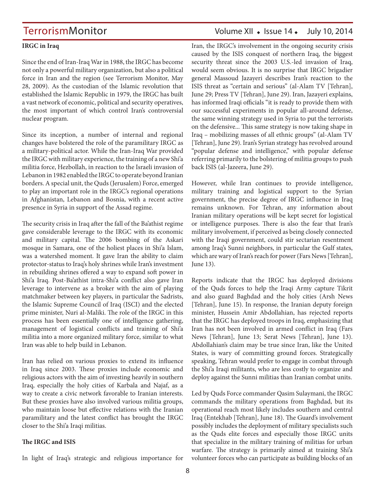### **IRGC in Iraq**

Since the end of Iran-Iraq War in 1988, the IRGC has become not only a powerful military organization, but also a political force in Iran and the region (see Terrorism Monitor, May 28, 2009). As the custodian of the Islamic revolution that established the Islamic Republic in 1979, the IRGC has built a vast network of economic, political and security operatives, the most important of which control Iran's controversial nuclear program.

Since its inception, a number of internal and regional changes have bolstered the role of the paramilitary IRGC as a military-political actor. While the Iran-Iraq War provided the IRGC with military experience, the training of a new Shi'a militia force, Hezbollah, in reaction to the Israeli invasion of Lebanon in 1982 enabled the IRGC to operate beyond Iranian borders. A special unit, the Quds (Jerusalem) Force, emerged to play an important role in the IRGC's regional operations in Afghanistan, Lebanon and Bosnia, with a recent active presence in Syria in support of the Assad regime.

The security crisis in Iraq after the fall of the Ba'athist regime gave considerable leverage to the IRGC with its economic and military capital. The 2006 bombing of the Askari mosque in Samara, one of the holiest places in Shi'a Islam, was a watershed moment. It gave Iran the ability to claim protector-status to Iraq's holy shrines while Iran's investment in rebuilding shrines offered a way to expand soft power in Shi'a Iraq. Post-Ba'athist intra-Shi'a conflict also gave Iran leverage to intervene as a broker with the aim of playing matchmaker between key players, in particular the Sadrists, the Islamic Supreme Council of Iraq (ISCI) and the elected prime minister, Nuri al-Maliki. The role of the IRGC in this process has been essentially one of intelligence gathering, management of logistical conflicts and training of Shi'a militia into a more organized military force, similar to what Iran was able to help build in Lebanon.

Iran has relied on various proxies to extend its influence in Iraq since 2003. These proxies include economic and religious actors with the aim of investing heavily in southern Iraq, especially the holy cities of Karbala and Najaf, as a way to create a civic network favorable to Iranian interests. But these proxies have also involved various militia groups, who maintain loose but effective relations with the Iranian paramilitary and the latest conflict has brought the IRGC closer to the Shi'a Iraqi militias.

### **The IRGC and ISIS**

In light of Iraq's strategic and religious importance for

## TerrorismMonitor Volume XII • Issue 14 • July 10, 2014

Iran, the IRGC's involvement in the ongoing security crisis caused by the ISIS conquest of northern Iraq, the biggest security threat since the 2003 U.S.-led invasion of Iraq, would seem obvious. It is no surprise that IRGC brigadier general Massoud Jazayeri describes Iran's reaction to the ISIS threat as "certain and serious" (al-Alam TV [Tehran], June 29; Press TV [Tehran], June 29). Iran, Jazayeri explains, has informed Iraqi officials "it is ready to provide them with our successful experiments in popular all-around defense, the same winning strategy used in Syria to put the terrorists on the defensive... This same strategy is now taking shape in Iraq – mobilizing masses of all ethnic groups" (al-Alam TV [Tehran], June 29). Iran's Syrian strategy has revolved around "popular defense and intelligence," with popular defense referring primarily to the bolstering of militia groups to push back ISIS (al-Jazeera, June 29).

However, while Iran continues to provide intelligence, military training and logistical support to the Syrian government, the precise degree of IRGC influence in Iraq remains unknown. For Tehran, any information about Iranian military operations will be kept secret for logistical or intelligence purposes. There is also the fear that Iran's military involvement, if perceived as being closely connected with the Iraqi government, could stir sectarian resentment among Iraq's Sunni neighbors, in particular the Gulf states, which are wary of Iran's reach for power (Fars News [Tehran], June 13).

Reports indicate that the IRGC has deployed divisions of the Quds forces to help the Iraqi Army capture Tikrit and also guard Baghdad and the holy cities (Arsh News [Tehran], June 15). In response, the Iranian deputy foreign minister, Hussein Amir Abdollahian, has rejected reports that the IRGC has deployed troops in Iraq, emphasizing that Iran has not been involved in armed conflict in Iraq (Fars News [Tehran], June 13; Serat News [Tehran], June 13). Abdollahian's claim may be true since Iran, like the United States, is wary of committing ground forces. Strategically speaking, Tehran would prefer to engage in combat through the Shi'a Iraqi militants, who are less costly to organize and deploy against the Sunni militias than Iranian combat units.

Led by Quds Force commander Qasim Sulaymani, the IRGC commands the military operations from Baghdad, but its operational reach most likely includes southern and central Iraq (Entekhab [Tehran], June 18). The Guard's involvement possibly includes the deployment of military specialists such as the Quds elite forces and especially those IRGC units that specialize in the military training of militias for urban warfare. The strategy is primarily aimed at training Shi'a volunteer forces who can participate as building blocks of an